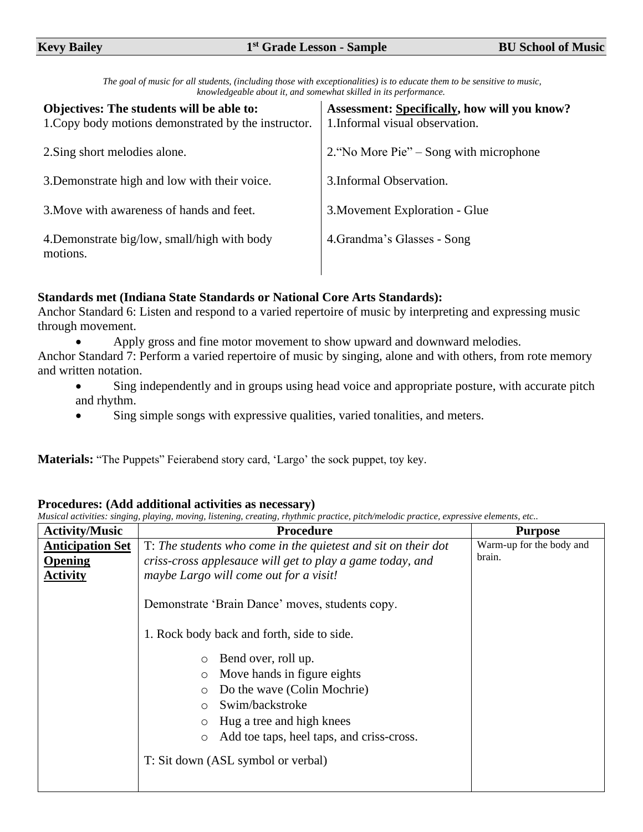| The goal of music for all students, (including those with exceptionalities) is to educate them to be sensitive to music, |  |  |
|--------------------------------------------------------------------------------------------------------------------------|--|--|
| knowledgeable about it, and somewhat skilled in its performance.                                                         |  |  |

| Objectives: The students will be able to:<br>1. Copy body motions demonstrated by the instructor. | <b>Assessment: Specifically, how will you know?</b><br>1. Informal visual observation. |
|---------------------------------------------------------------------------------------------------|----------------------------------------------------------------------------------------|
| 2. Sing short melodies alone.                                                                     | 2. "No More Pie" – Song with microphone                                                |
| 3. Demonstrate high and low with their voice.                                                     | 3. Informal Observation.                                                               |
| 3. Move with awareness of hands and feet.                                                         | 3. Movement Exploration - Glue                                                         |
| 4. Demonstrate big/low, small/high with body<br>motions.                                          | 4. Grandma's Glasses - Song                                                            |

## **Standards met (Indiana State Standards or National Core Arts Standards):**

Anchor Standard 6: Listen and respond to a varied repertoire of music by interpreting and expressing music through movement.

• Apply gross and fine motor movement to show upward and downward melodies.

Anchor Standard 7: Perform a varied repertoire of music by singing, alone and with others, from rote memory and written notation.

- Sing independently and in groups using head voice and appropriate posture, with accurate pitch and rhythm.
- Sing simple songs with expressive qualities, varied tonalities, and meters.

**Materials:** "The Puppets" Feierabend story card, 'Largo' the sock puppet, toy key.

## **Procedures: (Add additional activities as necessary)**

*Musical activities: singing, playing, moving, listening, creating, rhythmic practice, pitch/melodic practice, expressive elements, etc..*  **Activity/Music Procedure Purpose**

| <b>Activity/Music</b>                                 | Procedure                                                                                                                                                                                                                                                                  | <b>Purpose</b>                     |
|-------------------------------------------------------|----------------------------------------------------------------------------------------------------------------------------------------------------------------------------------------------------------------------------------------------------------------------------|------------------------------------|
| <b>Anticipation Set</b><br>Opening<br><b>Activity</b> | T: The students who come in the quietest and sit on their dot<br>criss-cross applesauce will get to play a game today, and<br>maybe Largo will come out for a visit!                                                                                                       | Warm-up for the body and<br>brain. |
|                                                       | Demonstrate 'Brain Dance' moves, students copy.                                                                                                                                                                                                                            |                                    |
|                                                       | 1. Rock body back and forth, side to side.                                                                                                                                                                                                                                 |                                    |
|                                                       | Bend over, roll up.<br>$\circ$<br>Move hands in figure eights<br>O<br>Do the wave (Colin Mochrie)<br>$\circ$<br>Swim/backstroke<br>$\circ$<br>Hug a tree and high knees<br>$\circ$<br>Add toe taps, heel taps, and criss-cross.<br>O<br>T: Sit down (ASL symbol or verbal) |                                    |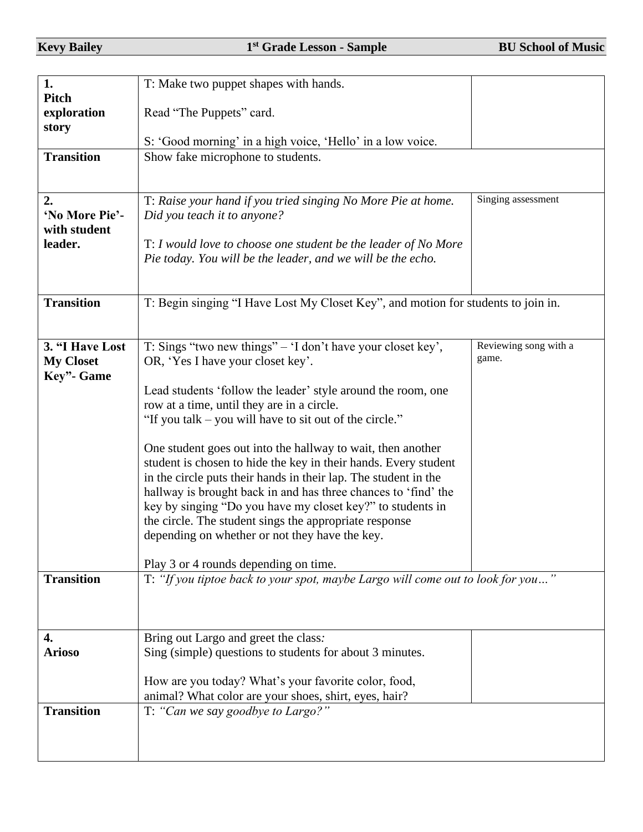| 1.                  | T: Make two puppet shapes with hands.                                                                      |                       |
|---------------------|------------------------------------------------------------------------------------------------------------|-----------------------|
| Pitch               |                                                                                                            |                       |
| exploration         | Read "The Puppets" card.                                                                                   |                       |
| story               | S: 'Good morning' in a high voice, 'Hello' in a low voice.                                                 |                       |
| <b>Transition</b>   | Show fake microphone to students.                                                                          |                       |
|                     |                                                                                                            |                       |
|                     |                                                                                                            |                       |
| 2.                  | T: Raise your hand if you tried singing No More Pie at home.                                               | Singing assessment    |
| 'No More Pie'-      | Did you teach it to anyone?                                                                                |                       |
| with student        |                                                                                                            |                       |
| leader.             | T: I would love to choose one student be the leader of No More                                             |                       |
|                     | Pie today. You will be the leader, and we will be the echo.                                                |                       |
|                     |                                                                                                            |                       |
| <b>Transition</b>   | T: Begin singing "I Have Lost My Closet Key", and motion for students to join in.                          |                       |
|                     |                                                                                                            |                       |
|                     |                                                                                                            |                       |
| 3. "I Have Lost     | T: Sings "two new things" $-$ 'I don't have your closet key',                                              | Reviewing song with a |
| <b>My Closet</b>    | OR, 'Yes I have your closet key'.                                                                          | game.                 |
| Key"- Game          |                                                                                                            |                       |
|                     | Lead students 'follow the leader' style around the room, one<br>row at a time, until they are in a circle. |                       |
|                     | "If you talk – you will have to sit out of the circle."                                                    |                       |
|                     |                                                                                                            |                       |
|                     | One student goes out into the hallway to wait, then another                                                |                       |
|                     | student is chosen to hide the key in their hands. Every student                                            |                       |
|                     | in the circle puts their hands in their lap. The student in the                                            |                       |
|                     | hallway is brought back in and has three chances to 'find' the                                             |                       |
|                     | key by singing "Do you have my closet key?" to students in                                                 |                       |
|                     | the circle. The student sings the appropriate response<br>depending on whether or not they have the key.   |                       |
|                     |                                                                                                            |                       |
|                     | Play 3 or 4 rounds depending on time.                                                                      |                       |
| <b>Transition</b>   | T: "If you tiptoe back to your spot, maybe Largo will come out to look for you"                            |                       |
|                     |                                                                                                            |                       |
|                     |                                                                                                            |                       |
|                     |                                                                                                            |                       |
| 4.<br><b>Arioso</b> | Bring out Largo and greet the class:<br>Sing (simple) questions to students for about 3 minutes.           |                       |
|                     |                                                                                                            |                       |
|                     | How are you today? What's your favorite color, food,                                                       |                       |
|                     | animal? What color are your shoes, shirt, eyes, hair?                                                      |                       |
| <b>Transition</b>   | T: "Can we say goodbye to Largo?"                                                                          |                       |
|                     |                                                                                                            |                       |
|                     |                                                                                                            |                       |
|                     |                                                                                                            |                       |